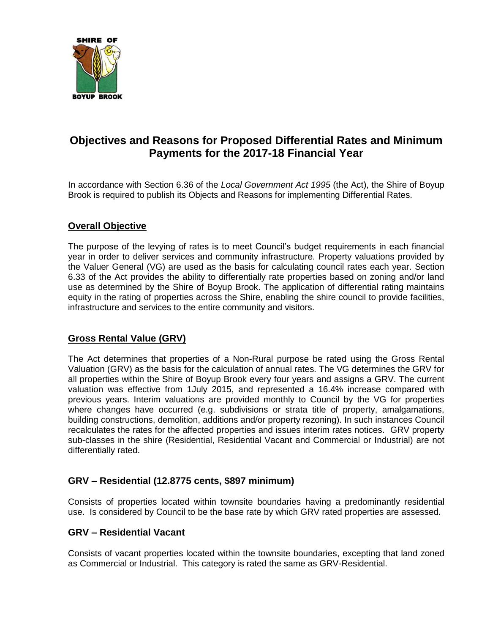

# **Objectives and Reasons for Proposed Differential Rates and Minimum Payments for the 2017-18 Financial Year**

In accordance with Section 6.36 of the *Local Government Act 1995* (the Act), the Shire of Boyup Brook is required to publish its Objects and Reasons for implementing Differential Rates.

## **Overall Objective**

The purpose of the levying of rates is to meet Council's budget requirements in each financial year in order to deliver services and community infrastructure. Property valuations provided by the Valuer General (VG) are used as the basis for calculating council rates each year. Section 6.33 of the Act provides the ability to differentially rate properties based on zoning and/or land use as determined by the Shire of Boyup Brook. The application of differential rating maintains equity in the rating of properties across the Shire, enabling the shire council to provide facilities, infrastructure and services to the entire community and visitors.

## **Gross Rental Value (GRV)**

The Act determines that properties of a Non-Rural purpose be rated using the Gross Rental Valuation (GRV) as the basis for the calculation of annual rates. The VG determines the GRV for all properties within the Shire of Boyup Brook every four years and assigns a GRV. The current valuation was effective from 1July 2015, and represented a 16.4% increase compared with previous years. Interim valuations are provided monthly to Council by the VG for properties where changes have occurred (e.g. subdivisions or strata title of property, amalgamations, building constructions, demolition, additions and/or property rezoning). In such instances Council recalculates the rates for the affected properties and issues interim rates notices. GRV property sub-classes in the shire (Residential, Residential Vacant and Commercial or Industrial) are not differentially rated.

## **GRV – Residential (12.8775 cents, \$897 minimum)**

Consists of properties located within townsite boundaries having a predominantly residential use. Is considered by Council to be the base rate by which GRV rated properties are assessed.

#### **GRV – Residential Vacant**

Consists of vacant properties located within the townsite boundaries, excepting that land zoned as Commercial or Industrial. This category is rated the same as GRV-Residential.